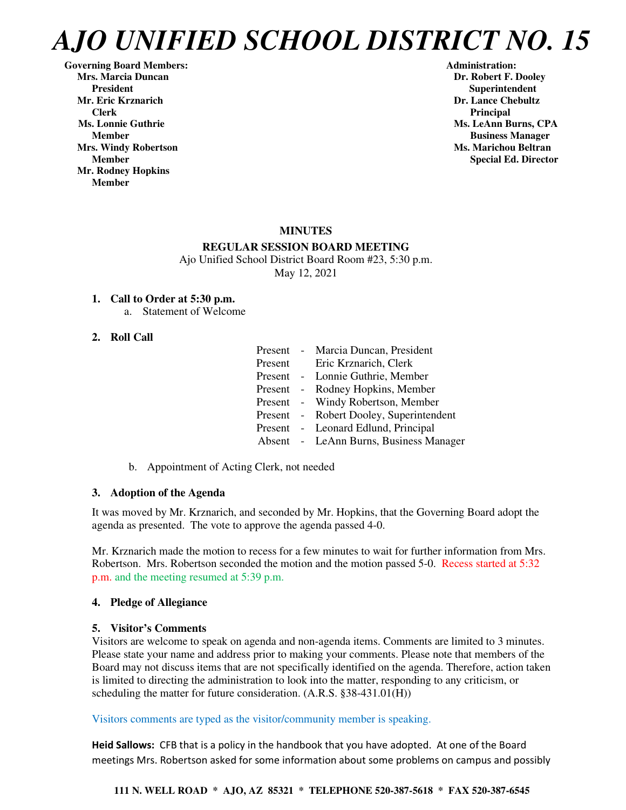**Governing Board Members: Administration: Mrs. Marcia Duncan Dr. Robert F. Dooley** President **Resident Superintendent** Superintendent<br>Mr. Eric Krznarich Superintendent **Superintendent Clerk** Principal **Principal** *Principal* **Ms. Lonnie Guthrie Ms. LeAnn Burns, CPA Ms. LeAnn Burns, CPA Mrs. Windy Robertson Ms. Marichou Beltran**  Ms. Marichou Beltran **Ms. Marichou Beltran Mr. Rodney Hopkins Member** 

**Dr. Lance Chebultz Member Business Manager Member** Special Ed. Director **Special Ed. Director** 

#### **MINUTES**

#### **REGULAR SESSION BOARD MEETING**

Ajo Unified School District Board Room #23, 5:30 p.m. May 12, 2021

#### **1. Call to Order at 5:30 p.m.**

a. Statement of Welcome

#### **2. Roll Call**

| Present - |            | Marcia Duncan, President               |
|-----------|------------|----------------------------------------|
| Present   |            | Eric Krznarich, Clerk                  |
| Present   | $\sim$ $-$ | Lonnie Guthrie, Member                 |
| Present   | $\sim$ $-$ | Rodney Hopkins, Member                 |
| Present   |            | - Windy Robertson, Member              |
| Present   |            | - Robert Dooley, Superintendent        |
| Present   |            | - Leonard Edlund, Principal            |
|           |            | Absent - LeAnn Burns, Business Manager |

b. Appointment of Acting Clerk, not needed

#### **3. Adoption of the Agenda**

It was moved by Mr. Krznarich, and seconded by Mr. Hopkins, that the Governing Board adopt the agenda as presented. The vote to approve the agenda passed 4-0.

Mr. Krznarich made the motion to recess for a few minutes to wait for further information from Mrs. Robertson. Mrs. Robertson seconded the motion and the motion passed 5-0. Recess started at 5:32 p.m. and the meeting resumed at 5:39 p.m.

#### **4. Pledge of Allegiance**

#### **5. Visitor's Comments**

Visitors are welcome to speak on agenda and non-agenda items. Comments are limited to 3 minutes. Please state your name and address prior to making your comments. Please note that members of the Board may not discuss items that are not specifically identified on the agenda. Therefore, action taken is limited to directing the administration to look into the matter, responding to any criticism, or scheduling the matter for future consideration. (A.R.S. §38-431.01(H))

#### Visitors comments are typed as the visitor/community member is speaking.

**Heid Sallows:** CFB that is a policy in the handbook that you have adopted. At one of the Board meetings Mrs. Robertson asked for some information about some problems on campus and possibly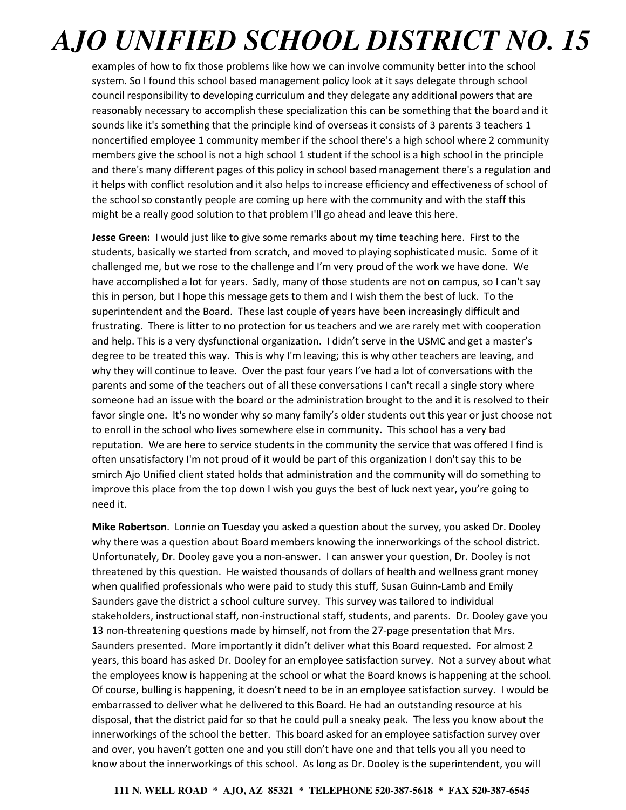examples of how to fix those problems like how we can involve community better into the school system. So I found this school based management policy look at it says delegate through school council responsibility to developing curriculum and they delegate any additional powers that are reasonably necessary to accomplish these specialization this can be something that the board and it sounds like it's something that the principle kind of overseas it consists of 3 parents 3 teachers 1 noncertified employee 1 community member if the school there's a high school where 2 community members give the school is not a high school 1 student if the school is a high school in the principle and there's many different pages of this policy in school based management there's a regulation and it helps with conflict resolution and it also helps to increase efficiency and effectiveness of school of the school so constantly people are coming up here with the community and with the staff this might be a really good solution to that problem I'll go ahead and leave this here.

**Jesse Green:** I would just like to give some remarks about my time teaching here. First to the students, basically we started from scratch, and moved to playing sophisticated music. Some of it challenged me, but we rose to the challenge and I'm very proud of the work we have done. We have accomplished a lot for years. Sadly, many of those students are not on campus, so I can't say this in person, but I hope this message gets to them and I wish them the best of luck. To the superintendent and the Board. These last couple of years have been increasingly difficult and frustrating. There is litter to no protection for us teachers and we are rarely met with cooperation and help. This is a very dysfunctional organization. I didn't serve in the USMC and get a master's degree to be treated this way. This is why I'm leaving; this is why other teachers are leaving, and why they will continue to leave. Over the past four years I've had a lot of conversations with the parents and some of the teachers out of all these conversations I can't recall a single story where someone had an issue with the board or the administration brought to the and it is resolved to their favor single one. It's no wonder why so many family's older students out this year or just choose not to enroll in the school who lives somewhere else in community. This school has a very bad reputation. We are here to service students in the community the service that was offered I find is often unsatisfactory I'm not proud of it would be part of this organization I don't say this to be smirch Ajo Unified client stated holds that administration and the community will do something to improve this place from the top down I wish you guys the best of luck next year, you're going to need it.

**Mike Robertson**. Lonnie on Tuesday you asked a question about the survey, you asked Dr. Dooley why there was a question about Board members knowing the innerworkings of the school district. Unfortunately, Dr. Dooley gave you a non-answer. I can answer your question, Dr. Dooley is not threatened by this question. He waisted thousands of dollars of health and wellness grant money when qualified professionals who were paid to study this stuff, Susan Guinn-Lamb and Emily Saunders gave the district a school culture survey. This survey was tailored to individual stakeholders, instructional staff, non-instructional staff, students, and parents. Dr. Dooley gave you 13 non-threatening questions made by himself, not from the 27-page presentation that Mrs. Saunders presented. More importantly it didn't deliver what this Board requested. For almost 2 years, this board has asked Dr. Dooley for an employee satisfaction survey. Not a survey about what the employees know is happening at the school or what the Board knows is happening at the school. Of course, bulling is happening, it doesn't need to be in an employee satisfaction survey. I would be embarrassed to deliver what he delivered to this Board. He had an outstanding resource at his disposal, that the district paid for so that he could pull a sneaky peak. The less you know about the innerworkings of the school the better. This board asked for an employee satisfaction survey over and over, you haven't gotten one and you still don't have one and that tells you all you need to know about the innerworkings of this school. As long as Dr. Dooley is the superintendent, you will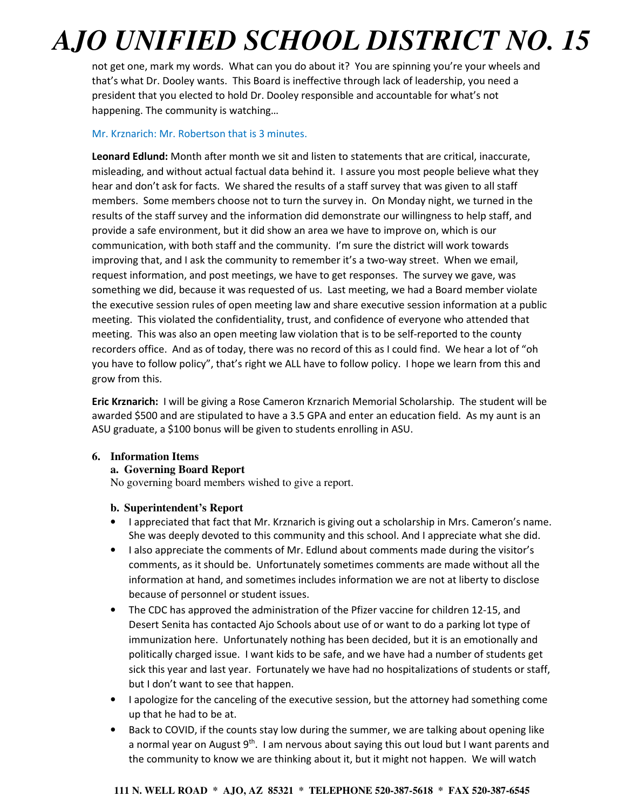not get one, mark my words. What can you do about it? You are spinning you're your wheels and that's what Dr. Dooley wants. This Board is ineffective through lack of leadership, you need a president that you elected to hold Dr. Dooley responsible and accountable for what's not happening. The community is watching…

#### Mr. Krznarich: Mr. Robertson that is 3 minutes.

**Leonard Edlund:** Month after month we sit and listen to statements that are critical, inaccurate, misleading, and without actual factual data behind it. I assure you most people believe what they hear and don't ask for facts. We shared the results of a staff survey that was given to all staff members. Some members choose not to turn the survey in. On Monday night, we turned in the results of the staff survey and the information did demonstrate our willingness to help staff, and provide a safe environment, but it did show an area we have to improve on, which is our communication, with both staff and the community. I'm sure the district will work towards improving that, and I ask the community to remember it's a two-way street. When we email, request information, and post meetings, we have to get responses. The survey we gave, was something we did, because it was requested of us. Last meeting, we had a Board member violate the executive session rules of open meeting law and share executive session information at a public meeting. This violated the confidentiality, trust, and confidence of everyone who attended that meeting. This was also an open meeting law violation that is to be self-reported to the county recorders office. And as of today, there was no record of this as I could find. We hear a lot of "oh you have to follow policy", that's right we ALL have to follow policy. I hope we learn from this and grow from this.

**Eric Krznarich:** I will be giving a Rose Cameron Krznarich Memorial Scholarship. The student will be awarded \$500 and are stipulated to have a 3.5 GPA and enter an education field. As my aunt is an ASU graduate, a \$100 bonus will be given to students enrolling in ASU.

#### **6. Information Items**

#### **a. Governing Board Report**

No governing board members wished to give a report.

#### **b. Superintendent's Report**

- I appreciated that fact that Mr. Krznarich is giving out a scholarship in Mrs. Cameron's name. She was deeply devoted to this community and this school. And I appreciate what she did.
- I also appreciate the comments of Mr. Edlund about comments made during the visitor's comments, as it should be. Unfortunately sometimes comments are made without all the information at hand, and sometimes includes information we are not at liberty to disclose because of personnel or student issues.
- The CDC has approved the administration of the Pfizer vaccine for children 12-15, and Desert Senita has contacted Ajo Schools about use of or want to do a parking lot type of immunization here. Unfortunately nothing has been decided, but it is an emotionally and politically charged issue. I want kids to be safe, and we have had a number of students get sick this year and last year. Fortunately we have had no hospitalizations of students or staff, but I don't want to see that happen.
- I apologize for the canceling of the executive session, but the attorney had something come up that he had to be at.
- Back to COVID, if the counts stay low during the summer, we are talking about opening like a normal year on August  $9^{th}$ . I am nervous about saying this out loud but I want parents and the community to know we are thinking about it, but it might not happen. We will watch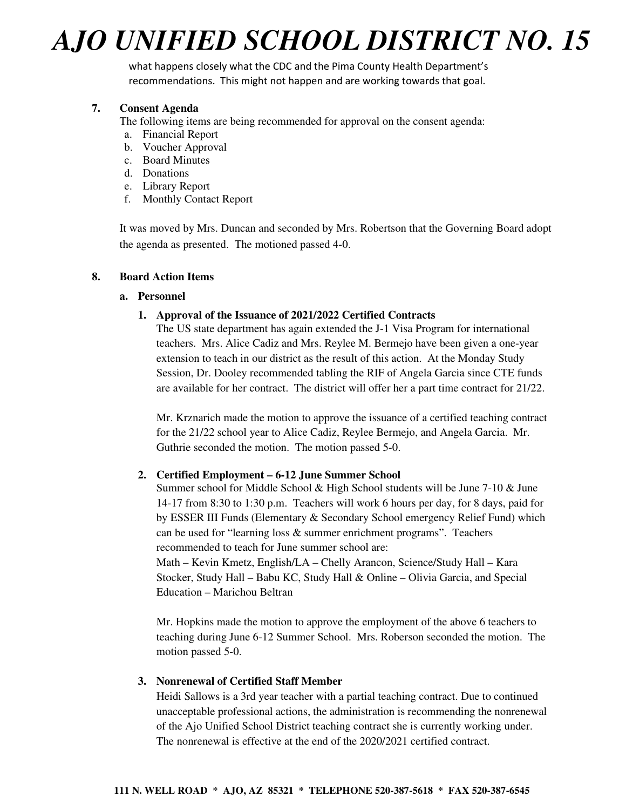what happens closely what the CDC and the Pima County Health Department's recommendations. This might not happen and are working towards that goal.

#### **7. Consent Agenda**

The following items are being recommended for approval on the consent agenda:

- a. Financial Report
- b. Voucher Approval
- c. Board Minutes
- d. Donations
- e. Library Report
- f. Monthly Contact Report

It was moved by Mrs. Duncan and seconded by Mrs. Robertson that the Governing Board adopt the agenda as presented. The motioned passed 4-0.

#### **8. Board Action Items**

#### **a. Personnel**

#### **1. Approval of the Issuance of 2021/2022 Certified Contracts**

The US state department has again extended the J-1 Visa Program for international teachers. Mrs. Alice Cadiz and Mrs. Reylee M. Bermejo have been given a one-year extension to teach in our district as the result of this action. At the Monday Study Session, Dr. Dooley recommended tabling the RIF of Angela Garcia since CTE funds are available for her contract. The district will offer her a part time contract for 21/22.

Mr. Krznarich made the motion to approve the issuance of a certified teaching contract for the 21/22 school year to Alice Cadiz, Reylee Bermejo, and Angela Garcia. Mr. Guthrie seconded the motion. The motion passed 5-0.

#### **2. Certified Employment – 6-12 June Summer School**

Summer school for Middle School & High School students will be June 7-10 & June 14-17 from 8:30 to 1:30 p.m. Teachers will work 6 hours per day, for 8 days, paid for by ESSER III Funds (Elementary & Secondary School emergency Relief Fund) which can be used for "learning loss & summer enrichment programs". Teachers recommended to teach for June summer school are: Math – Kevin Kmetz, English/LA – Chelly Arancon, Science/Study Hall – Kara

Stocker, Study Hall – Babu KC, Study Hall & Online – Olivia Garcia, and Special Education – Marichou Beltran

Mr. Hopkins made the motion to approve the employment of the above 6 teachers to teaching during June 6-12 Summer School. Mrs. Roberson seconded the motion. The motion passed 5-0.

#### **3. Nonrenewal of Certified Staff Member**

Heidi Sallows is a 3rd year teacher with a partial teaching contract. Due to continued unacceptable professional actions, the administration is recommending the nonrenewal of the Ajo Unified School District teaching contract she is currently working under. The nonrenewal is effective at the end of the 2020/2021 certified contract.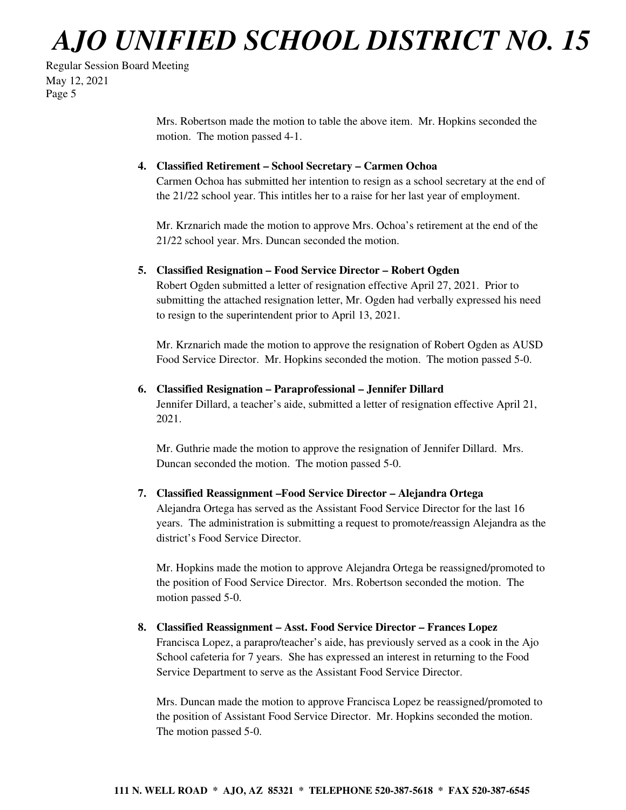Regular Session Board Meeting May 12, 2021 Page 5

> Mrs. Robertson made the motion to table the above item. Mr. Hopkins seconded the motion. The motion passed 4-1.

#### **4. Classified Retirement – School Secretary – Carmen Ochoa**

Carmen Ochoa has submitted her intention to resign as a school secretary at the end of the 21/22 school year. This intitles her to a raise for her last year of employment.

Mr. Krznarich made the motion to approve Mrs. Ochoa's retirement at the end of the 21/22 school year. Mrs. Duncan seconded the motion.

#### **5. Classified Resignation – Food Service Director – Robert Ogden**

Robert Ogden submitted a letter of resignation effective April 27, 2021. Prior to submitting the attached resignation letter, Mr. Ogden had verbally expressed his need to resign to the superintendent prior to April 13, 2021.

Mr. Krznarich made the motion to approve the resignation of Robert Ogden as AUSD Food Service Director. Mr. Hopkins seconded the motion. The motion passed 5-0.

#### **6. Classified Resignation – Paraprofessional – Jennifer Dillard**

Jennifer Dillard, a teacher's aide, submitted a letter of resignation effective April 21, 2021.

Mr. Guthrie made the motion to approve the resignation of Jennifer Dillard. Mrs. Duncan seconded the motion. The motion passed 5-0.

#### **7. Classified Reassignment –Food Service Director – Alejandra Ortega**

Alejandra Ortega has served as the Assistant Food Service Director for the last 16 years. The administration is submitting a request to promote/reassign Alejandra as the district's Food Service Director.

Mr. Hopkins made the motion to approve Alejandra Ortega be reassigned/promoted to the position of Food Service Director. Mrs. Robertson seconded the motion. The motion passed 5-0.

#### **8. Classified Reassignment – Asst. Food Service Director – Frances Lopez**

Francisca Lopez, a parapro/teacher's aide, has previously served as a cook in the Ajo School cafeteria for 7 years. She has expressed an interest in returning to the Food Service Department to serve as the Assistant Food Service Director.

Mrs. Duncan made the motion to approve Francisca Lopez be reassigned/promoted to the position of Assistant Food Service Director. Mr. Hopkins seconded the motion. The motion passed 5-0.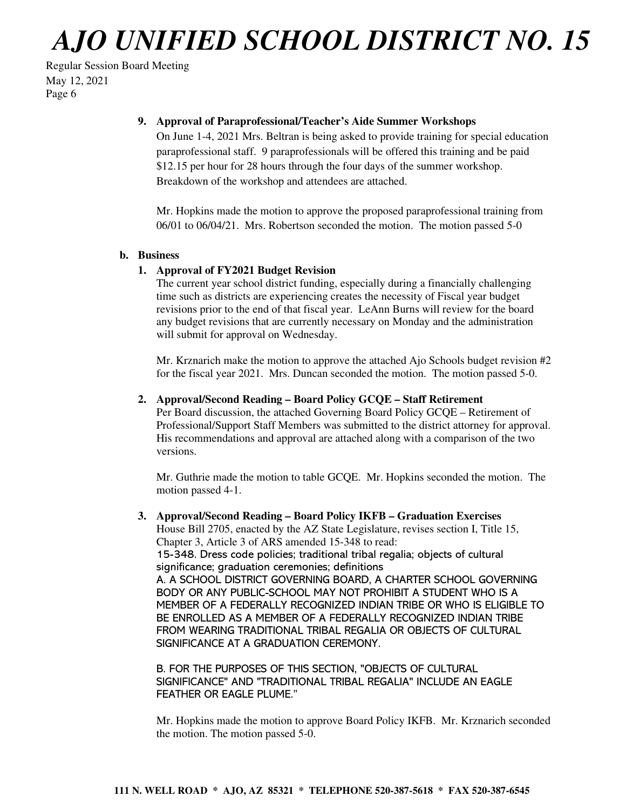#### Regular Session Board Meeting May 12, 2021 Page 6

#### **9. Approval of Paraprofessional/Teacher's Aide Summer Workshops**

On June 1-4, 2021 Mrs. Beltran is being asked to provide training for special education paraprofessional staff. 9 paraprofessionals will be offered this training and be paid \$12.15 per hour for 28 hours through the four days of the summer workshop. Breakdown of the workshop and attendees are attached.

Mr. Hopkins made the motion to approve the proposed paraprofessional training from 06/01 to 06/04/21. Mrs. Robertson seconded the motion. The motion passed 5-0

#### **b. Business**

#### **1. Approval of FY2021 Budget Revision**

The current year school district funding, especially during a financially challenging time such as districts are experiencing creates the necessity of Fiscal year budget revisions prior to the end of that fiscal year. LeAnn Burns will review for the board any budget revisions that are currently necessary on Monday and the administration will submit for approval on Wednesday.

Mr. Krznarich make the motion to approve the attached Ajo Schools budget revision #2 for the fiscal year 2021. Mrs. Duncan seconded the motion. The motion passed 5-0.

#### **2. Approval/Second Reading – Board Policy GCQE – Staff Retirement**

Per Board discussion, the attached Governing Board Policy GCQE – Retirement of Professional/Support Staff Members was submitted to the district attorney for approval. His recommendations and approval are attached along with a comparison of the two versions.

Mr. Guthrie made the motion to table GCQE. Mr. Hopkins seconded the motion. The motion passed 4-1.

**3. Approval/Second Reading – Board Policy IKFB – Graduation Exercises**  House Bill 2705, enacted by the AZ State Legislature, revises section I, Title 15, Chapter 3, Article 3 of ARS amended 15-348 to read: 15-348. Dress code policies; traditional tribal regalia; objects of cultural significance; graduation ceremonies; definitions A. A SCHOOL DISTRICT GOVERNING BOARD, A CHARTER SCHOOL GOVERNING BODY OR ANY PUBLIC-SCHOOL MAY NOT PROHIBIT A STUDENT WHO IS A MEMBER OF A FEDERALLY RECOGNIZED INDIAN TRIBE OR WHO IS ELIGIBLE TO BE ENROLLED AS A MEMBER OF A FEDERALLY RECOGNIZED INDIAN TRIBE FROM WEARING TRADITIONAL TRIBAL REGALIA OR OBJECTS OF CULTURAL SIGNIFICANCE AT A GRADUATION CEREMONY.

B. FOR THE PURPOSES OF THIS SECTION, "OBJECTS OF CULTURAL SIGNIFICANCE" AND "TRADITIONAL TRIBAL REGALIA" INCLUDE AN EAGLE FEATHER OR EAGLE PLUME."

Mr. Hopkins made the motion to approve Board Policy IKFB. Mr. Krznarich seconded the motion. The motion passed 5-0.